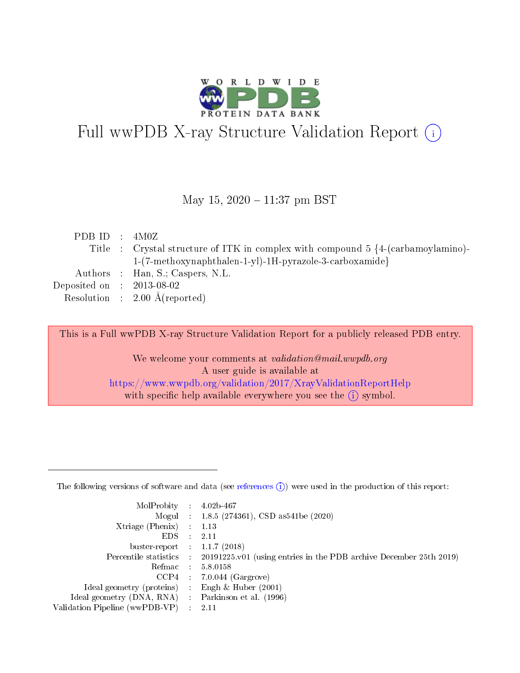

# Full wwPDB X-ray Structure Validation Report (i)

#### May 15,  $2020 - 11:37$  pm BST

| PDB ID : $4M0Z$             |                                                                                             |
|-----------------------------|---------------------------------------------------------------------------------------------|
|                             | Title : Crystal structure of ITK in complex with compound $5 \{4-(\text{carbamoylamin})-\}$ |
|                             | 1-(7-methoxynaphthalen-1-yl)-1H-pyrazole-3-carboxamide}                                     |
|                             | Authors : Han, S.; Caspers, N.L.                                                            |
| Deposited on : $2013-08-02$ |                                                                                             |
|                             | Resolution : $2.00 \text{ Å}$ (reported)                                                    |
|                             |                                                                                             |

This is a Full wwPDB X-ray Structure Validation Report for a publicly released PDB entry.

We welcome your comments at validation@mail.wwpdb.org A user guide is available at <https://www.wwpdb.org/validation/2017/XrayValidationReportHelp> with specific help available everywhere you see the  $(i)$  symbol.

The following versions of software and data (see [references](https://www.wwpdb.org/validation/2017/XrayValidationReportHelp#references)  $(1)$ ) were used in the production of this report:

| MolProbity :                   |               | $4.02b - 467$                                                               |
|--------------------------------|---------------|-----------------------------------------------------------------------------|
|                                |               | Mogul : $1.8.5$ (274361), CSD as 541be (2020)                               |
| Xtriage (Phenix)               | $\mathcal{L}$ | 1.13                                                                        |
| EDS.                           |               | 2.11                                                                        |
| buster-report : $1.1.7$ (2018) |               |                                                                             |
| Percentile statistics :        |               | $20191225 \text{v}01$ (using entries in the PDB archive December 25th 2019) |
| Refmac :                       |               | 5.8.0158                                                                    |
| CCP4                           |               | $7.0.044$ (Gargrove)                                                        |
| Ideal geometry (proteins) :    |               | Engh $\&$ Huber (2001)                                                      |
| Ideal geometry (DNA, RNA) :    |               | Parkinson et al. (1996)                                                     |
| Validation Pipeline (wwPDB-VP) | $\mathcal{L}$ | 2.11                                                                        |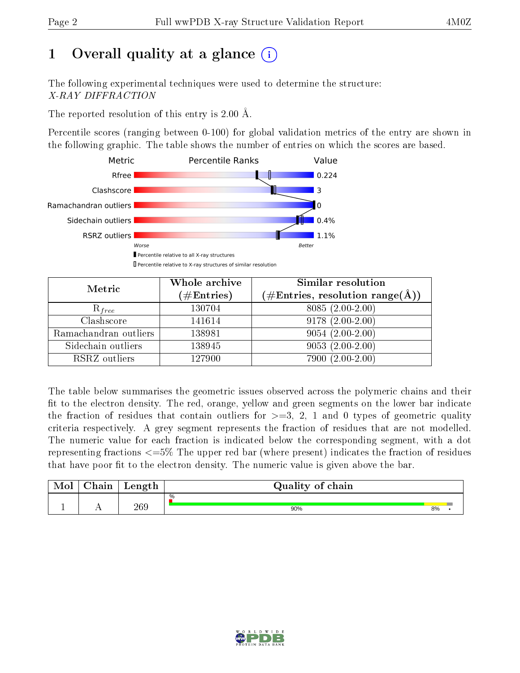# 1 [O](https://www.wwpdb.org/validation/2017/XrayValidationReportHelp#overall_quality)verall quality at a glance  $(i)$

The following experimental techniques were used to determine the structure: X-RAY DIFFRACTION

The reported resolution of this entry is 2.00 Å.

Percentile scores (ranging between 0-100) for global validation metrics of the entry are shown in the following graphic. The table shows the number of entries on which the scores are based.



| Metric                | Whole archive<br>$(\#\text{Entries})$ | Similar resolution<br>$(\#\text{Entries},\, \text{resolution}\; \text{range}(\textup{\AA}))$ |
|-----------------------|---------------------------------------|----------------------------------------------------------------------------------------------|
| $R_{free}$            | 130704                                | $8085(2.00-2.00)$                                                                            |
| Clashscore            | 141614                                | $9178(2.00-2.00)$                                                                            |
| Ramachandran outliers | 138981                                | $9054(2.00-2.00)$                                                                            |
| Sidechain outliers    | 138945                                | $9053(2.00-2.00)$                                                                            |
| RSRZ outliers         | 127900                                | 7900 (2.00-2.00)                                                                             |

The table below summarises the geometric issues observed across the polymeric chains and their fit to the electron density. The red, orange, yellow and green segments on the lower bar indicate the fraction of residues that contain outliers for  $>=3, 2, 1$  and 0 types of geometric quality criteria respectively. A grey segment represents the fraction of residues that are not modelled. The numeric value for each fraction is indicated below the corresponding segment, with a dot representing fractions  $\epsilon=5\%$  The upper red bar (where present) indicates the fraction of residues that have poor fit to the electron density. The numeric value is given above the bar.

| Mol | $\cap$ hain | Length | Quality of chain |    |  |
|-----|-------------|--------|------------------|----|--|
|     |             |        | %                |    |  |
|     |             | 269    | 90%              | 8% |  |

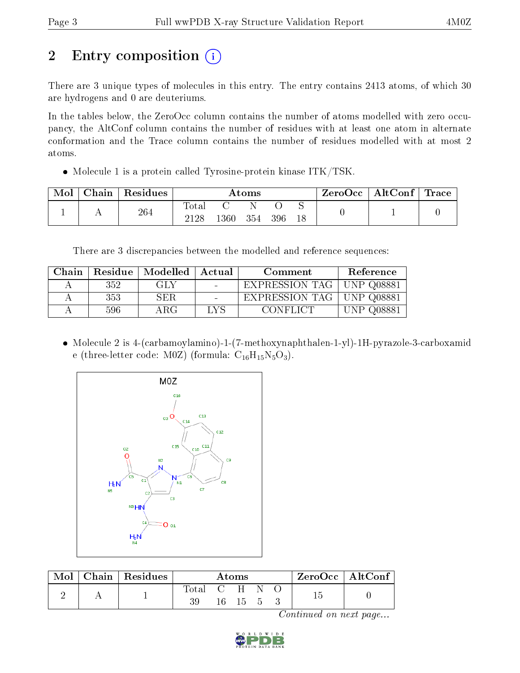# 2 Entry composition  $\left( \cdot \right)$

There are 3 unique types of molecules in this entry. The entry contains 2413 atoms, of which 30 are hydrogens and 0 are deuteriums.

In the tables below, the ZeroOcc column contains the number of atoms modelled with zero occupancy, the AltConf column contains the number of residues with at least one atom in alternate conformation and the Trace column contains the number of residues modelled with at most 2 atoms.

• Molecule 1 is a protein called Tyrosine-protein kinase ITK/TSK.

| Mol | Chain | Residues | $\rm{Atoms}$  |      |     |     |    | ZeroOcc | $\vert$ AltConf $\vert$ Trace |  |
|-----|-------|----------|---------------|------|-----|-----|----|---------|-------------------------------|--|
|     |       | 264      | Total<br>2128 | 1360 | 354 | 396 | 18 |         |                               |  |

There are 3 discrepancies between the modelled and reference sequences:

| Chain | Residue | $\parallel$ Modelled $\parallel$ | Actual | Comment        | Reference     |
|-------|---------|----------------------------------|--------|----------------|---------------|
|       | 352     | GLY                              |        | EXPRESSION TAG | JNP 008881    |
|       | 353     | SER                              |        | EXPRESSION TAG | UNP Q08881    |
|       | 596     | ΑRG                              | LV S   | – CONFLICT     | Q08881<br>-NP |

 Molecule 2 is 4-(carbamoylamino)-1-(7-methoxynaphthalen-1-yl)-1H-pyrazole-3-carboxamid e (three-letter code: M0Z) (formula:  $C_{16}H_{15}N_5O_3$ ).



| Mol | Chain   Residues | Atoms       |  |       |  |  | ZeroOcc   AltConf |  |
|-----|------------------|-------------|--|-------|--|--|-------------------|--|
|     |                  | Total C H – |  | 16 15 |  |  |                   |  |

Continued on next page...

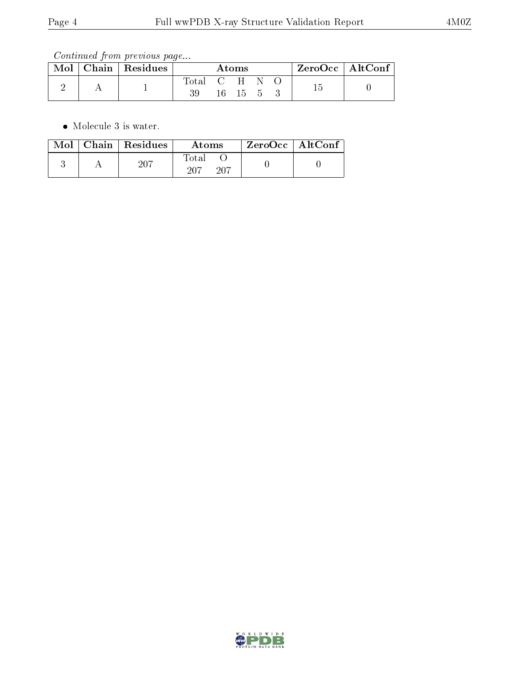Continued from previous page...

| $\text{Mol}$ | Chain   Residues | Atoms |  |       |  |  | $ZeroOcc \mid AltConf \mid$ |
|--------------|------------------|-------|--|-------|--|--|-----------------------------|
|              |                  | Total |  | $C-H$ |  |  |                             |
|              |                  |       |  | 16 15 |  |  |                             |

• Molecule 3 is water.

|  | $Mol$   Chain   Residues | Atoms                  | $ZeroOcc \mid AltConf$ |
|--|--------------------------|------------------------|------------------------|
|  | 207                      | Fotal<br>$-207$<br>207 |                        |

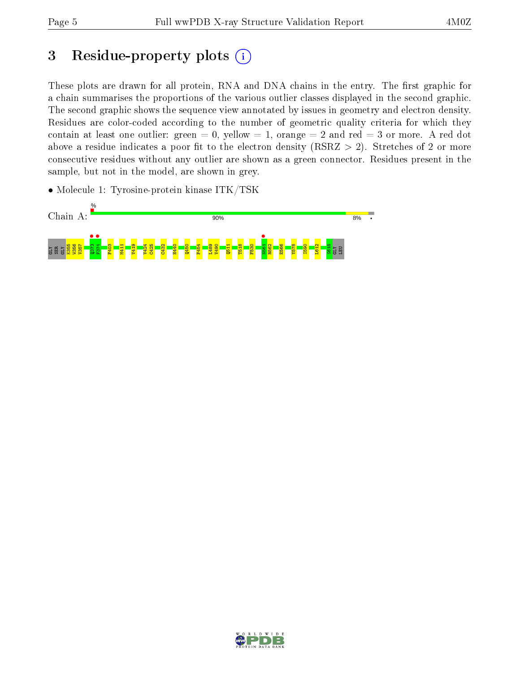# 3 Residue-property plots  $(i)$

These plots are drawn for all protein, RNA and DNA chains in the entry. The first graphic for a chain summarises the proportions of the various outlier classes displayed in the second graphic. The second graphic shows the sequence view annotated by issues in geometry and electron density. Residues are color-coded according to the number of geometric quality criteria for which they contain at least one outlier: green  $= 0$ , yellow  $= 1$ , orange  $= 2$  and red  $= 3$  or more. A red dot above a residue indicates a poor fit to the electron density (RSRZ  $> 2$ ). Stretches of 2 or more consecutive residues without any outlier are shown as a green connector. Residues present in the sample, but not in the model, are shown in grey.

• Molecule 1: Tyrosine-protein kinase ITK/TSK



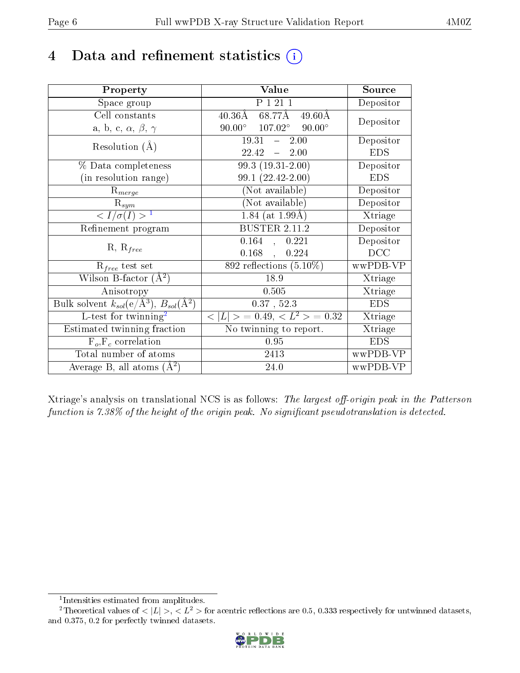# 4 Data and refinement statistics  $(i)$

| Property                                                                | Value                                              | Source     |
|-------------------------------------------------------------------------|----------------------------------------------------|------------|
| Space group                                                             | $\overline{P}$ 1 21 1                              | Depositor  |
| Cell constants                                                          | 68.77Å<br>$40.36\mathrm{\AA}$<br>$49.60\text{\AA}$ | Depositor  |
| a, b, c, $\alpha$ , $\beta$ , $\gamma$                                  | $90.00^{\circ}$ $107.02^{\circ}$<br>$90.00^\circ$  |            |
| Resolution $(A)$                                                        | $19.31 - 2.00$                                     | Depositor  |
|                                                                         | 22.42<br>$-2.00$                                   | <b>EDS</b> |
| % Data completeness                                                     | $99.3(19.31-2.00)$                                 | Depositor  |
| (in resolution range)                                                   | $99.1(22.42-2.00)$                                 | <b>EDS</b> |
| $R_{merge}$                                                             | (Not available)                                    | Depositor  |
| $\mathrm{R}_{sym}$                                                      | (Not available)                                    | Depositor  |
| $\langle I/\sigma(I) \rangle^{-1}$                                      | 1.84 (at $1.99\text{\AA}$ )                        | Xtriage    |
| Refinement program                                                      | <b>BUSTER 2.11.2</b>                               | Depositor  |
|                                                                         | $0.164$ , $0.221$                                  | Depositor  |
| $R, R_{free}$                                                           | $0.168$ ,<br>0.224                                 | DCC        |
| $R_{free}$ test set                                                     | $892$ reflections $(5.10\%)$                       | wwPDB-VP   |
| Wilson B-factor $(A^2)$                                                 | 18.9                                               | Xtriage    |
| Anisotropy                                                              | 0.505                                              | Xtriage    |
| Bulk solvent $k_{sol}(\mathrm{e}/\mathrm{A}^3),\,B_{sol}(\mathrm{A}^2)$ | $0.37$ , $52.3$                                    | <b>EDS</b> |
| L-test for twinning <sup>2</sup>                                        | $< L >$ = 0.49, $< L^2 >$ = 0.32                   | Xtriage    |
| Estimated twinning fraction                                             | No twinning to report.                             | Xtriage    |
| $F_o, F_c$ correlation                                                  | 0.95                                               | <b>EDS</b> |
| Total number of atoms                                                   | 2413                                               | wwPDB-VP   |
| Average B, all atoms $(A^2)$                                            | 24.0                                               | wwPDB-VP   |

Xtriage's analysis on translational NCS is as follows: The largest off-origin peak in the Patterson function is  $7.38\%$  of the height of the origin peak. No significant pseudotranslation is detected.

<sup>&</sup>lt;sup>2</sup>Theoretical values of  $\langle |L| \rangle$ ,  $\langle L^2 \rangle$  for acentric reflections are 0.5, 0.333 respectively for untwinned datasets, and 0.375, 0.2 for perfectly twinned datasets.



<span id="page-5-1"></span><span id="page-5-0"></span><sup>1</sup> Intensities estimated from amplitudes.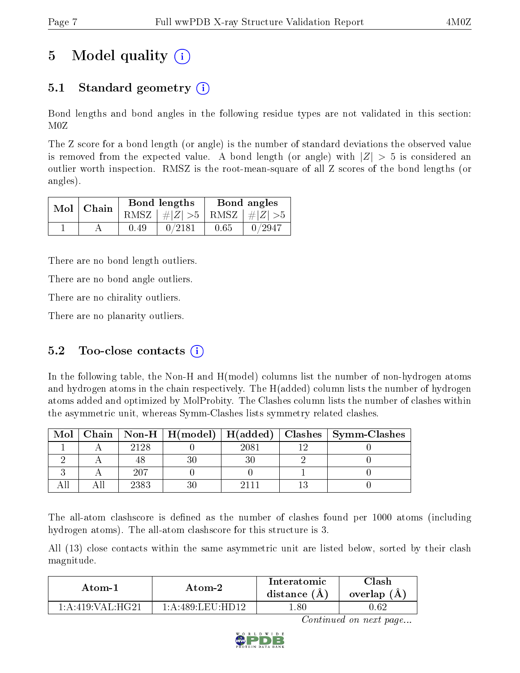# 5 Model quality  $(i)$

### 5.1 Standard geometry (i)

Bond lengths and bond angles in the following residue types are not validated in this section: M0Z

The Z score for a bond length (or angle) is the number of standard deviations the observed value is removed from the expected value. A bond length (or angle) with  $|Z| > 5$  is considered an outlier worth inspection. RMSZ is the root-mean-square of all Z scores of the bond lengths (or angles).

|               |      | Bond lengths                    | Bond angles |        |  |
|---------------|------|---------------------------------|-------------|--------|--|
| $Mol$   Chain |      | RMSZ $ #Z  > 5$ RMSZ $ #Z  > 5$ |             |        |  |
|               | 0.49 | 0/2181                          | 0.65        | 0/2947 |  |

There are no bond length outliers.

There are no bond angle outliers.

There are no chirality outliers.

There are no planarity outliers.

### 5.2 Too-close contacts  $(i)$

In the following table, the Non-H and H(model) columns list the number of non-hydrogen atoms and hydrogen atoms in the chain respectively. The H(added) column lists the number of hydrogen atoms added and optimized by MolProbity. The Clashes column lists the number of clashes within the asymmetric unit, whereas Symm-Clashes lists symmetry related clashes.

| Mol |      |      | Chain   Non-H   H(model)   H(added)   Clashes   Symm-Clashes |
|-----|------|------|--------------------------------------------------------------|
|     | 2128 | 2081 |                                                              |
|     |      |      |                                                              |
|     | -207 |      |                                                              |
|     | 2383 |      |                                                              |

The all-atom clashscore is defined as the number of clashes found per 1000 atoms (including hydrogen atoms). The all-atom clashscore for this structure is 3.

All (13) close contacts within the same asymmetric unit are listed below, sorted by their clash magnitude.

| Atom-1              | Atom-2                      | $\operatorname{Interatomic}$<br>distance $(A)$ | $\mathrm{Class}$<br>overlap (A |
|---------------------|-----------------------------|------------------------------------------------|--------------------------------|
| $1:$ A:419:VAL·HG21 | $1:$ A:489:LEU $\cdot$ HD12 | -.80                                           | .).62                          |

Continued on next page...

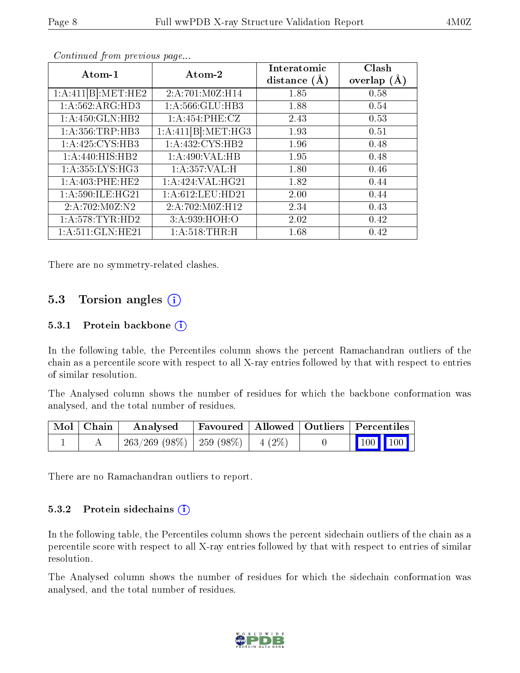| Atom-1              | Atom-2              | Interatomic<br>distance $(A)$ | Clash<br>overlap $(A)$ |
|---------------------|---------------------|-------------------------------|------------------------|
| 1:A:411[B]:MET:HE2  | 2:A:701:M0Z:H14     | 1.85                          | 0.58                   |
| 1: A:562: ARG:HD3   | 1:A:566:GLU:HB3     | 1.88                          | 0.54                   |
| 1:A:450:GLN:HB2     | 1: A:454: PHE: CZ   | 2.43                          | 0.53                   |
| 1: A: 356: TRP: HB3 | 1:A:411[B]:MET:HG3  | 1.93                          | 0.51                   |
| 1: A:425: CYS:HB3   | 1:A:432:CYS:HB2     | 1.96                          | 0.48                   |
| 1: A:440:HIS:HB2    | 1: A:490: VAL:HB    | 1.95                          | 0.48                   |
| 1: A: 355: LYS: HG3 | 1:A:357:VAL:H       | 1.80                          | 0.46                   |
| 1: A:403: PHE:HE2   | 1:A:424:VAL:HG21    | 1.82                          | 0.44                   |
| 1: A:590: ILE: HG21 | 1: A:612: LEU: HD21 | 2.00                          | 0.44                   |
| 2:A:702:M0Z:N2      | 2:A:702:M0Z:H12     | 2.34                          | 0.43                   |
| 1: A: 578: TYR: HD2 | 3:A:939:HOH:O       | 2.02                          | 0.42                   |
| 1:A:511:GLN:HE21    | 1: A:518:THR:H      | 1.68                          | 0.42                   |

Continued from previous page...

There are no symmetry-related clashes.

#### 5.3 Torsion angles  $(i)$

#### 5.3.1 Protein backbone  $(i)$

In the following table, the Percentiles column shows the percent Ramachandran outliers of the chain as a percentile score with respect to all X-ray entries followed by that with respect to entries of similar resolution.

The Analysed column shows the number of residues for which the backbone conformation was analysed, and the total number of residues.

| Mol   Chain | Analysed                                | Favoured   Allowed   Outliers   Percentiles |  |                                                              |  |
|-------------|-----------------------------------------|---------------------------------------------|--|--------------------------------------------------------------|--|
|             | $263/269$ (98\%)   259 (98\%)   4 (2\%) |                                             |  | $\begin{array}{ c c c c c }\n\hline\n100 & 100\n\end{array}$ |  |

There are no Ramachandran outliers to report.

#### 5.3.2 Protein sidechains  $\left( \widehat{\mathbf{i}} \right)$

In the following table, the Percentiles column shows the percent sidechain outliers of the chain as a percentile score with respect to all X-ray entries followed by that with respect to entries of similar resolution.

The Analysed column shows the number of residues for which the sidechain conformation was analysed, and the total number of residues.

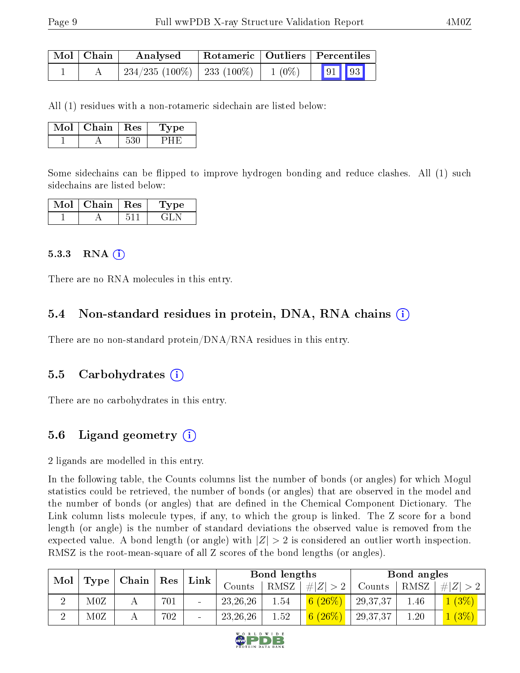| Mol   Chain | Analysed                    |          | Rotameric   Outliers   Percentiles |  |  |
|-------------|-----------------------------|----------|------------------------------------|--|--|
|             | 234/235 (100%)   233 (100%) | $1(0\%)$ | $\sqrt{91}$ 93                     |  |  |

All (1) residues with a non-rotameric sidechain are listed below:

| Mol | $Chain +$ | Res | L'vpe |
|-----|-----------|-----|-------|
|     |           |     |       |

Some sidechains can be flipped to improve hydrogen bonding and reduce clashes. All (1) such sidechains are listed below:

| Mol | Chain | $\perp$ Res | <b>Type</b> |
|-----|-------|-------------|-------------|
|     |       |             | ک اہت       |

#### $5.3.3$  RNA  $(i)$

There are no RNA molecules in this entry.

### 5.4 Non-standard residues in protein, DNA, RNA chains (i)

There are no non-standard protein/DNA/RNA residues in this entry.

#### 5.5 Carbohydrates (i)

There are no carbohydrates in this entry.

### 5.6 Ligand geometry (i)

2 ligands are modelled in this entry.

In the following table, the Counts columns list the number of bonds (or angles) for which Mogul statistics could be retrieved, the number of bonds (or angles) that are observed in the model and the number of bonds (or angles) that are dened in the Chemical Component Dictionary. The Link column lists molecule types, if any, to which the group is linked. The Z score for a bond length (or angle) is the number of standard deviations the observed value is removed from the expected value. A bond length (or angle) with  $|Z| > 2$  is considered an outlier worth inspection. RMSZ is the root-mean-square of all Z scores of the bond lengths (or angles).

| $\bf{Mol}$ |                      | $\mid$ Chain $\mid$ Res |     | Link                     |            | Bond lengths |             |          | Bond angles |              |
|------------|----------------------|-------------------------|-----|--------------------------|------------|--------------|-------------|----------|-------------|--------------|
|            | $\bm{\mathrm{Type}}$ |                         |     |                          | Counts     | RMSZ         | $\# Z  > 2$ | Counts   | RMSZ        | $\# Z $      |
|            | $_{\rm M0Z}$         |                         | 701 |                          | 23, 26, 26 | 1.54         | $(26\%$     | 29,37,37 | 1.46        | (3%          |
|            | $_{\rm M0Z}$         |                         | 702 | $\overline{\phantom{a}}$ | 23, 26, 26 | 1.52         | $(26\%)$    | 29,37,37 | 1.20        | $\sqrt{3\%}$ |

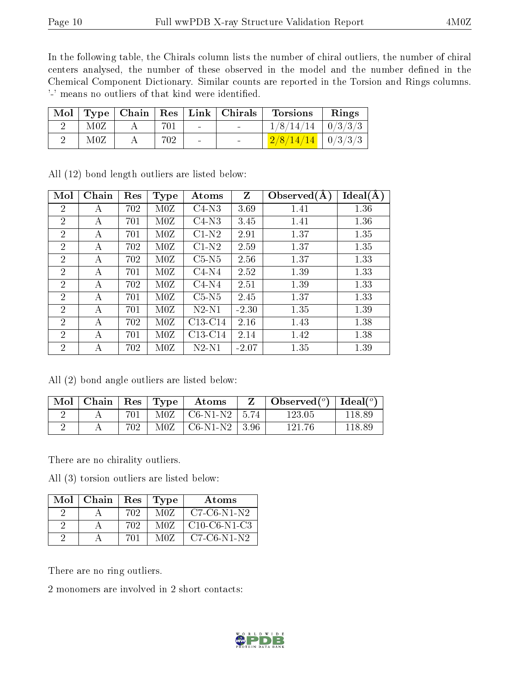In the following table, the Chirals column lists the number of chiral outliers, the number of chiral centers analysed, the number of these observed in the model and the number defined in the Chemical Component Dictionary. Similar counts are reported in the Torsion and Rings columns. '-' means no outliers of that kind were identified.

|     |     |        | Mol   Type   Chain   Res   Link   Chirals | <b>Torsions</b>                                                   | Rings |
|-----|-----|--------|-------------------------------------------|-------------------------------------------------------------------|-------|
| M0Z | 701 | $\sim$ |                                           | $1/8/14/14$   $0/3/3/3$                                           |       |
| M0Z | 702 | $\sim$ |                                           | $\left  \frac{2/8}{14/14} \right  \left  \frac{0}{3/3/3} \right $ |       |

| Mol            | Chain | Res | <b>Type</b> | Atoms     | $\mathbf{Z}$ | Observed $(A)$ | Ideal(A) |
|----------------|-------|-----|-------------|-----------|--------------|----------------|----------|
| $\overline{2}$ | А     | 702 | M0Z         | $C4-N3$   | 3.69         | 1.41           | 1.36     |
| $\overline{2}$ | А     | 701 | M0Z         | $C4-N3$   | 3.45         | 1.41           | 1.36     |
| $\overline{2}$ | A     | 701 | M0Z         | $C1-N2$   | 2.91         | 1.37           | 1.35     |
| $\overline{2}$ | А     | 702 | M0Z         | $C1-N2$   | 2.59         | 1.37           | 1.35     |
| $\overline{2}$ | А     | 702 | M0Z         | $C5-N5$   | 2.56         | 1.37           | 1.33     |
| $\overline{2}$ | А     | 701 | M0Z         | $C4-N4$   | 2.52         | 1.39           | 1.33     |
| $\overline{2}$ | A     | 702 | M0Z         | $C4-N4$   | 2.51         | 1.39           | 1.33     |
| $\overline{2}$ | А     | 701 | M0Z         | $C5-N5$   | 2.45         | 1.37           | 1.33     |
| $\overline{2}$ | А     | 701 | M0Z         | $N2-N1$   | $-2.30$      | 1.35           | 1.39     |
| $\overline{2}$ | А     | 702 | M0Z         | $C13-C14$ | 2.16         | 1.43           | 1.38     |
| $\overline{2}$ | А     | 701 | M0Z         | $C13-C14$ | 2.14         | 1.42           | 1.38     |
| $\overline{2}$ | А     | 702 | M0Z         | $N2-N1$   | $-2.07$      | 1.35           | 1.39     |

All (12) bond length outliers are listed below:

All (2) bond angle outliers are listed below:

| Mol | Chain | $\perp$ Res $\perp$ | $\Gamma$ Type | Atoms                                                        | Observed $(^\circ)$   Ideal $(^\circ)$ |        |
|-----|-------|---------------------|---------------|--------------------------------------------------------------|----------------------------------------|--------|
|     |       | 701                 | M0Z           | $\mathrm{^{+}CO\text{-}N1\text{-}N2}$   5.74 $\mathrm{^{-}}$ | 123.05                                 | 118.89 |
|     |       | 702.                | M0Z           | $C6-N1-N2$   3.96                                            | 121.76                                 | 118.89 |

There are no chirality outliers.

All (3) torsion outliers are listed below:

| Mol∣ | Chain | Res | Type | Atoms          |
|------|-------|-----|------|----------------|
|      |       | 702 | M0Z  | $C7-C6-N1-N2$  |
|      |       | 702 | M0Z  | $C10-C6-N1-C3$ |
|      |       | 701 | M07  | $C7-C6-N1-N2$  |

There are no ring outliers.

2 monomers are involved in 2 short contacts:

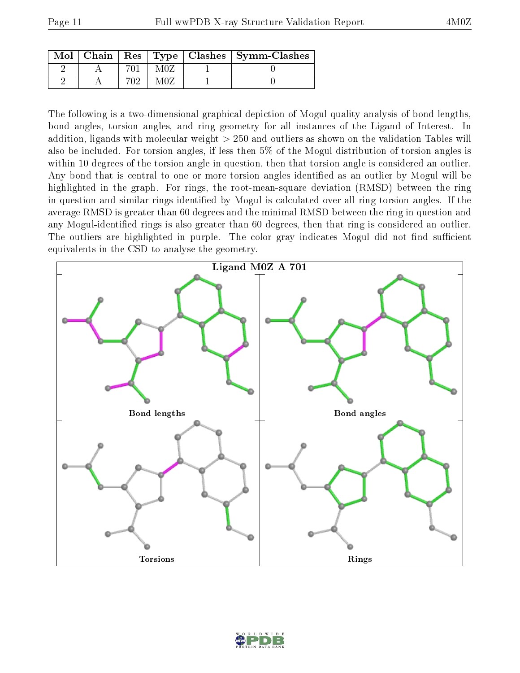| $Mol$   Chain |     |     | Res   Type   Clashes   Symm-Clashes |
|---------------|-----|-----|-------------------------------------|
|               |     | M07 |                                     |
|               | פ∩ק | MOZ |                                     |

The following is a two-dimensional graphical depiction of Mogul quality analysis of bond lengths, bond angles, torsion angles, and ring geometry for all instances of the Ligand of Interest. In addition, ligands with molecular weight > 250 and outliers as shown on the validation Tables will also be included. For torsion angles, if less then 5% of the Mogul distribution of torsion angles is within 10 degrees of the torsion angle in question, then that torsion angle is considered an outlier. Any bond that is central to one or more torsion angles identified as an outlier by Mogul will be highlighted in the graph. For rings, the root-mean-square deviation (RMSD) between the ring in question and similar rings identified by Mogul is calculated over all ring torsion angles. If the average RMSD is greater than 60 degrees and the minimal RMSD between the ring in question and any Mogul-identified rings is also greater than 60 degrees, then that ring is considered an outlier. The outliers are highlighted in purple. The color gray indicates Mogul did not find sufficient equivalents in the CSD to analyse the geometry.



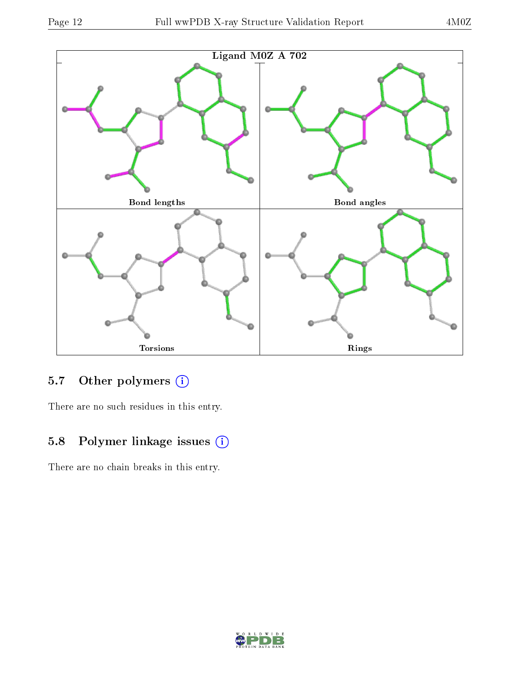

### 5.7 [O](https://www.wwpdb.org/validation/2017/XrayValidationReportHelp#nonstandard_residues_and_ligands)ther polymers (i)

There are no such residues in this entry.

## 5.8 Polymer linkage issues (i)

There are no chain breaks in this entry.

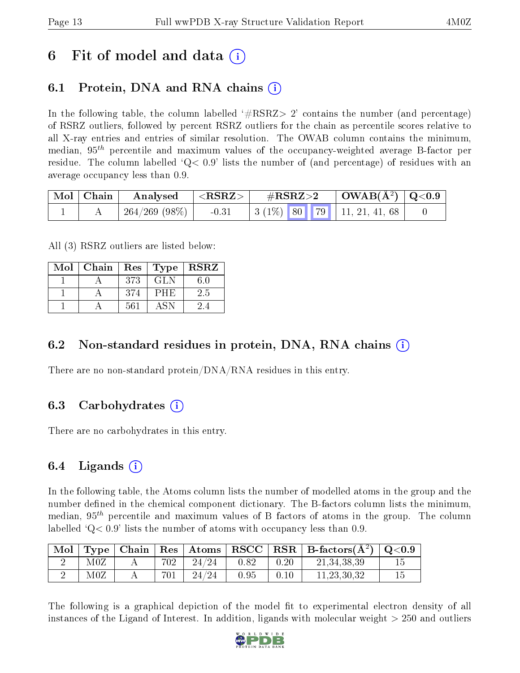## 6 Fit of model and data  $\left( \cdot \right)$

## 6.1 Protein, DNA and RNA chains (i)

In the following table, the column labelled  $#RSRZ>2'$  contains the number (and percentage) of RSRZ outliers, followed by percent RSRZ outliers for the chain as percentile scores relative to all X-ray entries and entries of similar resolution. The OWAB column contains the minimum, median,  $95<sup>th</sup>$  percentile and maximum values of the occupancy-weighted average B-factor per residue. The column labelled  $Q < 0.9$  lists the number of (and percentage) of residues with an average occupancy less than 0.9.

|  | $\mid$ Mol $\mid$ Chain $\mid$ Analysed $\mid$ <rsrz> <math>\mid</math></rsrz> | $\mathrm{\#RSRZ{>}2}$ |  | $\mid$ OWAB(Å <sup>2</sup> ) $\mid$ Q<0.9 $\mid$ |                                       |  |
|--|--------------------------------------------------------------------------------|-----------------------|--|--------------------------------------------------|---------------------------------------|--|
|  | 264/269 (98%)                                                                  |                       |  |                                                  | $-0.31$ $3(1\%)$ 80 79 11, 21, 41, 68 |  |

All (3) RSRZ outliers are listed below:

| Mol | Chain   Res   Type   RSRZ |     |      |     |
|-----|---------------------------|-----|------|-----|
|     |                           | 373 | GLN  | 60  |
|     |                           | 374 | PHE  | 2.5 |
|     |                           | 561 | A SN |     |

### 6.2 Non-standard residues in protein, DNA, RNA chains  $(i)$

There are no non-standard protein/DNA/RNA residues in this entry.

### 6.3 Carbohydrates (i)

There are no carbohydrates in this entry.

### 6.4 Ligands  $(i)$

In the following table, the Atoms column lists the number of modelled atoms in the group and the number defined in the chemical component dictionary. The B-factors column lists the minimum, median,  $95<sup>th</sup>$  percentile and maximum values of B factors of atoms in the group. The column labelled  $Q< 0.9$  lists the number of atoms with occupancy less than 0.9.

| Mol |     |     |       |      |      | Type   Chain   Res   Atoms   RSCC   RSR   B-factors $(\AA^2)$   Q<0.9 |  |
|-----|-----|-----|-------|------|------|-----------------------------------------------------------------------|--|
|     | M0Z | 702 | 24/24 | 0.82 | 0.20 | 21, 34, 38, 39                                                        |  |
|     | M0Z | 701 | 24/24 | 0.95 | 0.10 | 11, 23, 30, 32                                                        |  |

The following is a graphical depiction of the model fit to experimental electron density of all instances of the Ligand of Interest. In addition, ligands with molecular weight  $> 250$  and outliers

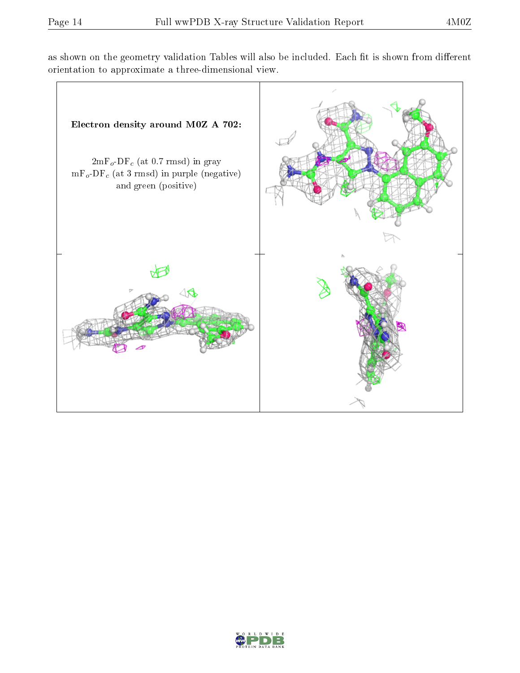as shown on the geometry validation Tables will also be included. Each fit is shown from different orientation to approximate a three-dimensional view.